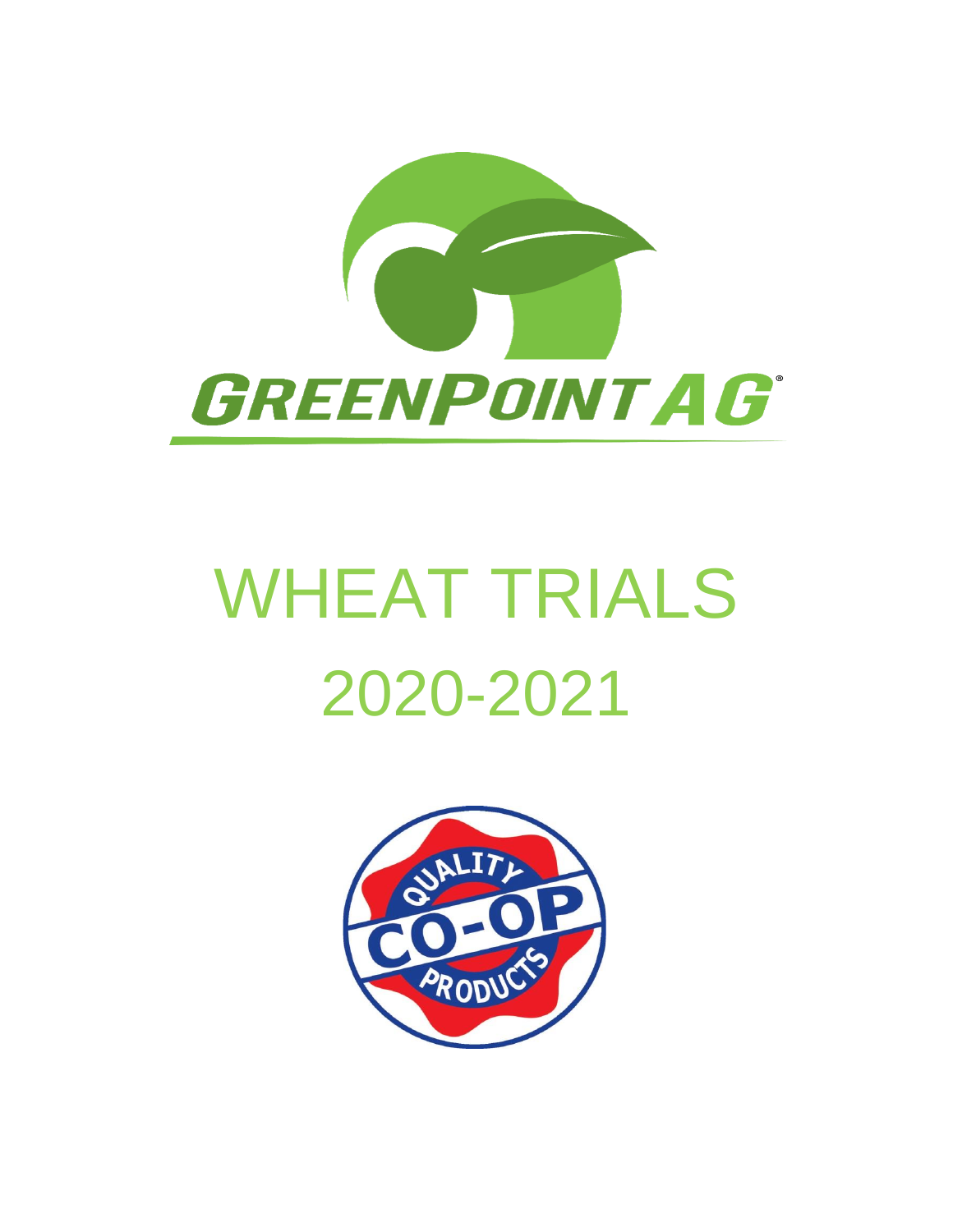

# WHEAT TRIALS 2020-2021

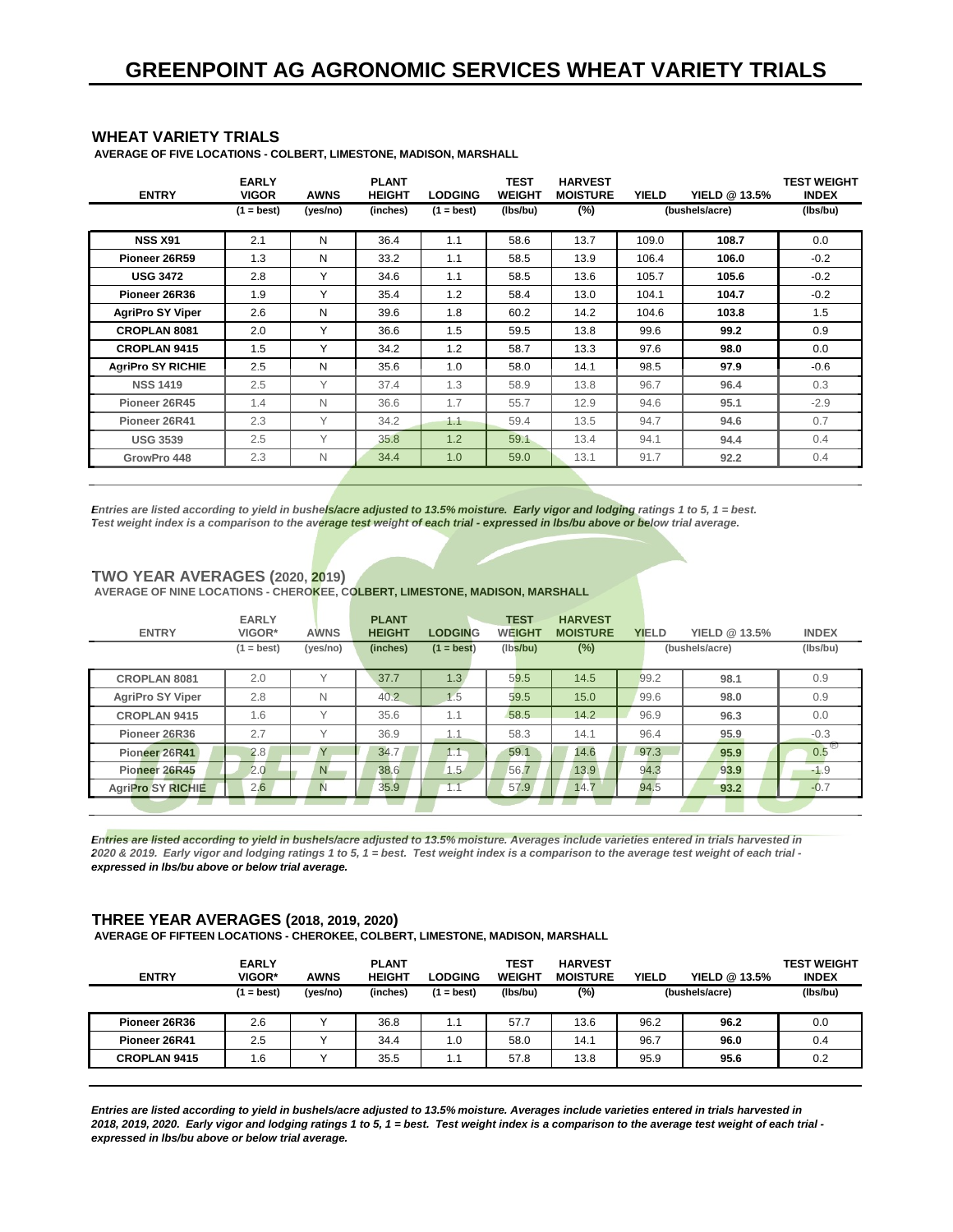#### **WHEAT VARIETY TRIALS**

 **AVERAGE OF FIVE LOCATIONS - COLBERT, LIMESTONE, MADISON, MARSHALL**

| <b>ENTRY</b>             | <b>EARLY</b><br><b>VIGOR</b> | <b>AWNS</b> | <b>PLANT</b><br><b>HEIGHT</b> | <b>LODGING</b> | <b>TEST</b><br><b>WEIGHT</b> | <b>HARVEST</b><br><b>MOISTURE</b> | <b>YIELD</b> | YIELD @ 13.5%  | <b>TEST WEIGHT</b><br><b>INDEX</b> |
|--------------------------|------------------------------|-------------|-------------------------------|----------------|------------------------------|-----------------------------------|--------------|----------------|------------------------------------|
|                          | $(1 = best)$                 | (yes/no)    | (inches)                      | $(1 = best)$   | (Ibs/bu)                     | $(\%)$                            |              | (bushels/acre) | (Ibs/bu)                           |
| <b>NSS X91</b>           | 2.1                          | N           | 36.4                          | 1.1            | 58.6                         | 13.7                              | 109.0        | 108.7          | 0.0                                |
| Pioneer 26R59            | 1.3                          | N           | 33.2                          | 1.1            | 58.5                         | 13.9                              | 106.4        | 106.0          | $-0.2$                             |
| <b>USG 3472</b>          | 2.8                          | Υ           | 34.6                          | 1.1            | 58.5                         | 13.6                              | 105.7        | 105.6          | $-0.2$                             |
| Pioneer 26R36            | 1.9                          | Υ           | 35.4                          | 1.2            | 58.4                         | 13.0                              | 104.1        | 104.7          | $-0.2$                             |
| <b>AgriPro SY Viper</b>  | 2.6                          | N           | 39.6                          | 1.8            | 60.2                         | 14.2                              | 104.6        | 103.8          | 1.5                                |
| <b>CROPLAN 8081</b>      | 2.0                          | Υ           | 36.6                          | 1.5            | 59.5                         | 13.8                              | 99.6         | 99.2           | 0.9                                |
| <b>CROPLAN 9415</b>      | 1.5                          | Υ           | 34.2                          | 1.2            | 58.7                         | 13.3                              | 97.6         | 98.0           | 0.0                                |
| <b>AgriPro SY RICHIE</b> | 2.5                          | N           | 35.6                          | 1.0            | 58.0                         | 14.1                              | 98.5         | 97.9           | $-0.6$                             |
| <b>NSS 1419</b>          | 2.5                          | Υ           | 37.4                          | 1.3            | 58.9                         | 13.8                              | 96.7         | 96.4           | 0.3                                |
| Pioneer 26R45            | 1.4                          | N           | 36.6                          | 1.7            | 55.7                         | 12.9                              | 94.6         | 95.1           | $-2.9$                             |
| Pioneer 26R41            | 2.3                          | Υ           | 34.2                          | 1.1            | 59.4                         | 13.5                              | 94.7         | 94.6           | 0.7                                |
| <b>USG 3539</b>          | 2.5                          | Υ           | 35.8                          | 1.2            | 59.1                         | 13.4                              | 94.1         | 94.4           | 0.4                                |
| GrowPro 448              | 2.3                          | N           | 34.4                          | 1.0            | 59.0                         | 13.1                              | 91.7         | 92.2           | 0.4                                |

*Entries are listed according to yield in bushels/acre adjusted to 13.5% moisture. Early vigor and lodging ratings 1 to 5, 1 = best. Test weight index is a comparison to the average test weight of each trial - expressed in lbs/bu above or below trial average.*

#### **TWO YEAR AVERAGES (2020, 2019)**

AVERAGE OF NINE LOCATIONS - CHEROKEE, COLBERT, LIMESTONE, MADISON, MARSHALL

| <b>ENTRY</b>             | <b>EARLY</b><br>VIGOR* | <b>AWNS</b>  | <b>PLANT</b><br><b>HEIGHT</b> | <b>LODGING</b> | <b>TEST</b><br><b>WEIGHT</b> | <b>HARVEST</b><br><b>MOISTURE</b> | <b>YIELD</b> | YIELD @ 13.5%  | <b>INDEX</b> |
|--------------------------|------------------------|--------------|-------------------------------|----------------|------------------------------|-----------------------------------|--------------|----------------|--------------|
|                          | $(1 = best)$           | (yes/no)     | (inches)                      | $(1 = best)$   | (lbs/bu)                     | $(\%)$                            |              | (bushels/acre) | (lbs/bu)     |
| <b>CROPLAN 8081</b>      | 2.0                    | $\checkmark$ | 37.7                          | 1.3            | 59.5                         | 14.5                              | 99.2         | 98.1           | 0.9          |
| <b>AgriPro SY Viper</b>  | 2.8                    | N            | 40.2                          | 1.5            | 59.5                         | 15.0                              | 99.6         | 98.0           | 0.9          |
| <b>CROPLAN 9415</b>      | 1.6                    | $\checkmark$ | 35.6                          | 1.1            | 58.5                         | 14.2                              | 96.9         | 96.3           | 0.0          |
| Pioneer 26R36            | 2.7                    | $\checkmark$ | 36.9                          | 1.1            | 58.3                         | 14.1                              | 96.4         | 95.9           | $-0.3$       |
| Pioneer 26R41            | 2.8                    | $\vee$       | 34.7                          | 1.1            | 59.1                         | 14.6                              | 97.3         | 95.9           | 0.5          |
| Pioneer 26R45            | 2.0                    | N            | 38.6                          | 1.5            | 56.7                         | 13.9                              | 94.3         | 93.9           | $-1.9$       |
| <b>AgriPro SY RICHIE</b> | 2.6                    | N            | 35.9                          | 1.1            | 57.9                         | 14.7                              | 94.5         | 93.2           | $-0.7$       |
|                          |                        |              |                               |                |                              |                                   |              |                |              |

*Entries are listed according to yield in bushels/acre adjusted to 13.5% moisture. Averages include varieties entered in trials harvested in 2020 & 2019. Early vigor and lodging ratings 1 to 5, 1 = best. Test weight index is a comparison to the average test weight of each trial expressed in lbs/bu above or below trial average.*

### **THREE YEAR AVERAGES (2018, 2019, 2020)**

 **AVERAGE OF FIFTEEN LOCATIONS - CHEROKEE, COLBERT, LIMESTONE, MADISON, MARSHALL**

| <b>ENTRY</b>        | <b>EARLY</b><br>VIGOR* | <b>AWNS</b> | <b>PLANT</b><br><b>HEIGHT</b> | <b>LODGING</b> | TEST<br><b>WEIGHT</b> | <b>HARVEST</b><br><b>MOISTURE</b> | <b>YIELD</b> | YIELD @ 13.5%  | <b>TEST WEIGHT</b><br><b>INDEX</b> |
|---------------------|------------------------|-------------|-------------------------------|----------------|-----------------------|-----------------------------------|--------------|----------------|------------------------------------|
|                     | $(1 = best)$           | (yes/no)    | (inches)                      | 1 = best)      | (Ibs/bu)              | (%)                               |              | (bushels/acre) | (lbs/bu)                           |
| Pioneer 26R36       | 2.6                    |             | 36.8                          | 1.1            | 57.7                  | 13.6                              | 96.2         | 96.2           | 0.0                                |
| Pioneer 26R41       | 2.5                    |             | 34.4                          | 1.0            | 58.0                  | 14.1                              | 96.7         | 96.0           | 0.4                                |
| <b>CROPLAN 9415</b> | 1.6                    |             | 35.5                          | 1.1            | 57.8                  | 13.8                              | 95.9         | 95.6           | 0.2                                |

*Entries are listed according to yield in bushels/acre adjusted to 13.5% moisture. Averages include varieties entered in trials harvested in 2018, 2019, 2020. Early vigor and lodging ratings 1 to 5, 1 = best. Test weight index is a comparison to the average test weight of each trial expressed in lbs/bu above or below trial average.*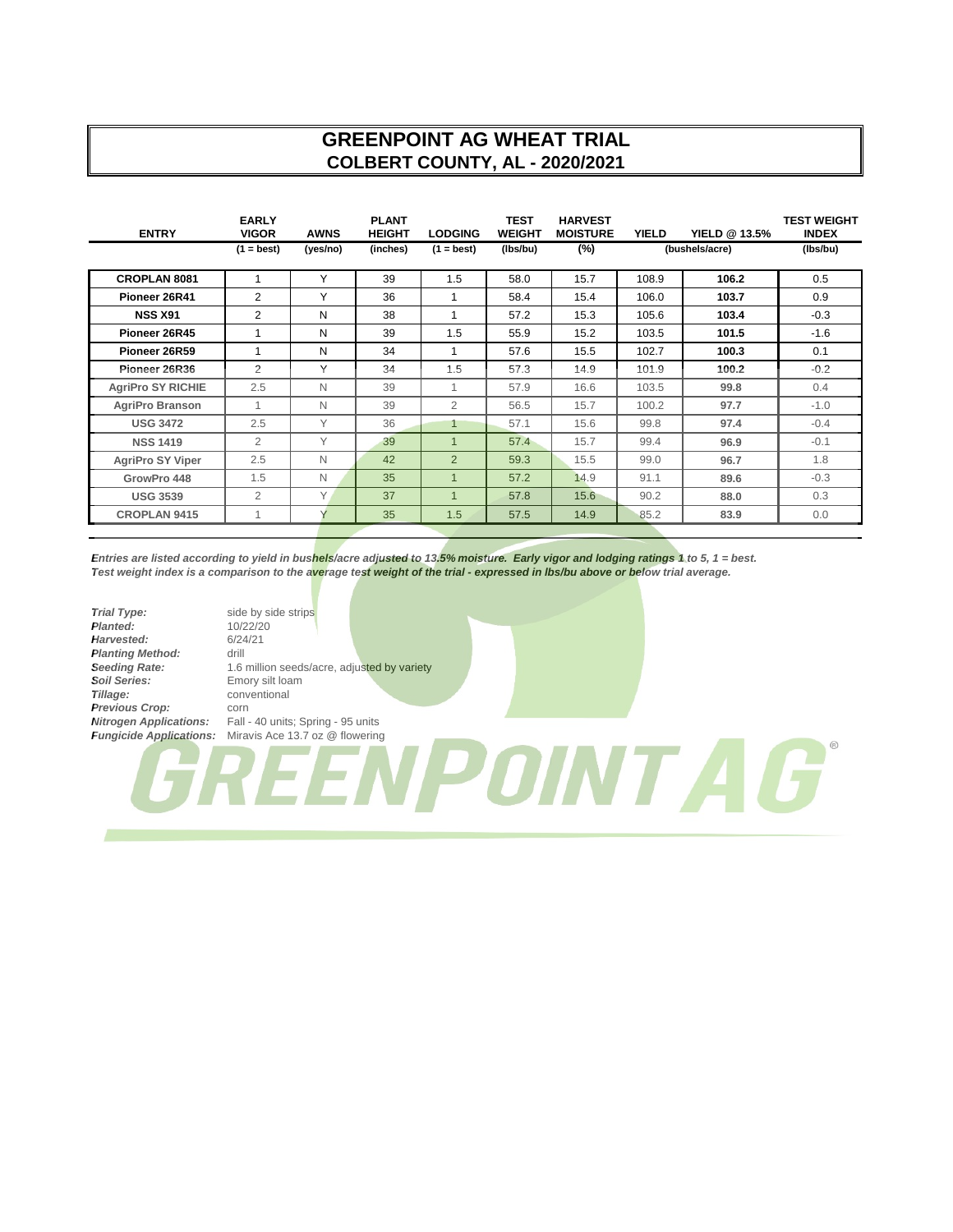# **GREENPOINT AG WHEAT TRIAL COLBERT COUNTY, AL - 2020/2021**

| <b>ENTRY</b>             | <b>EARLY</b><br><b>VIGOR</b> | <b>AWNS</b> | <b>PLANT</b><br><b>HEIGHT</b> | <b>LODGING</b>          | <b>TEST</b><br><b>WEIGHT</b> | <b>HARVEST</b><br><b>MOISTURE</b> | <b>YIELD</b> | <b>YIELD @ 13.5%</b> | <b>TEST WEIGHT</b><br><b>INDEX</b> |
|--------------------------|------------------------------|-------------|-------------------------------|-------------------------|------------------------------|-----------------------------------|--------------|----------------------|------------------------------------|
|                          | $(1 = best)$                 | (yes/no)    | (inches)                      | $(1 = best)$            | (lbs/bu)                     | $(\%)$                            |              | (bushels/acre)       | (lbs/bu)                           |
| <b>CROPLAN 8081</b>      | 1                            | Y           | 39                            | 1.5                     | 58.0                         | 15.7                              | 108.9        | 106.2                | 0.5                                |
| Pioneer 26R41            | 2                            | Υ           | 36                            | 1                       | 58.4                         | 15.4                              | 106.0        | 103.7                | 0.9                                |
| <b>NSS X91</b>           | 2                            | N           | 38                            | 1                       | 57.2                         | 15.3                              | 105.6        | 103.4                | $-0.3$                             |
| Pioneer 26R45            | 1                            | N           | 39                            | 1.5                     | 55.9                         | 15.2                              | 103.5        | 101.5                | $-1.6$                             |
| Pioneer 26R59            | 1                            | N           | 34                            | 1                       | 57.6                         | 15.5                              | 102.7        | 100.3                | 0.1                                |
| Pioneer 26R36            | $\overline{2}$               | Y           | 34                            | 1.5                     | 57.3                         | 14.9                              | 101.9        | 100.2                | $-0.2$                             |
| <b>AgriPro SY RICHIE</b> | 2.5                          | N           | 39                            | 1                       | 57.9                         | 16.6                              | 103.5        | 99.8                 | 0.4                                |
| AgriPro Branson          | 1                            | N           | 39                            | $\overline{2}$          | 56.5                         | 15.7                              | 100.2        | 97.7                 | $-1.0$                             |
| <b>USG 3472</b>          | 2.5                          | Y           | 36                            | 1                       | 57.1                         | 15.6                              | 99.8         | 97.4                 | $-0.4$                             |
| <b>NSS 1419</b>          | 2                            | Y           | 39                            | $\overline{\mathbf{1}}$ | 57.4                         | 15.7                              | 99.4         | 96.9                 | $-0.1$                             |
| <b>AgriPro SY Viper</b>  | 2.5                          | N           | 42                            | $\overline{2}$          | 59.3                         | 15.5                              | 99.0         | 96.7                 | 1.8                                |
| GrowPro 448              | 1.5                          | N           | 35                            | $\overline{1}$          | 57.2                         | 14.9                              | 91.1         | 89.6                 | $-0.3$                             |
| <b>USG 3539</b>          | 2                            | Y           | 37                            | 1                       | 57.8                         | 15.6                              | 90.2         | 88.0                 | 0.3                                |
| <b>CROPLAN 9415</b>      | 1                            |             | 35                            | 1.5                     | 57.5                         | 14.9                              | 85.2         | 83.9                 | 0.0                                |

*Entries are listed according to yield in bushels/acre adjusted to 13.5% moisture. Early vigor and lodging ratings 1 to 5, 1 = best. Test weight index is a comparison to the average test weight of the trial - expressed in lbs/bu above or below trial average.*

**Trial Type:** side by side strips <br> **Planted:** 10/22/20 **Planted:** 10/22/20<br> **Harvested:** 6/24/21 Harvested: **Planting Method:** drill<br>**Seeding Rate:** 1.6 **Soil Series:** Emory silt loam<br> **Tillage:** Conventional **Previous Crop:** corn<br>**Nitrogen Applications:** Fall -

*Seeding Rate:* 1.6 million seeds/acre, adjusted by variety *Tillage:* conventional **Nitrogen Applications:** Fall - 40 units; Spring - 95 units<br>**Fungicide Applications:** Miravis Ace 13.7 oz @ flowering *Miravis Ace 13.7 oz @ flowering* POINTAG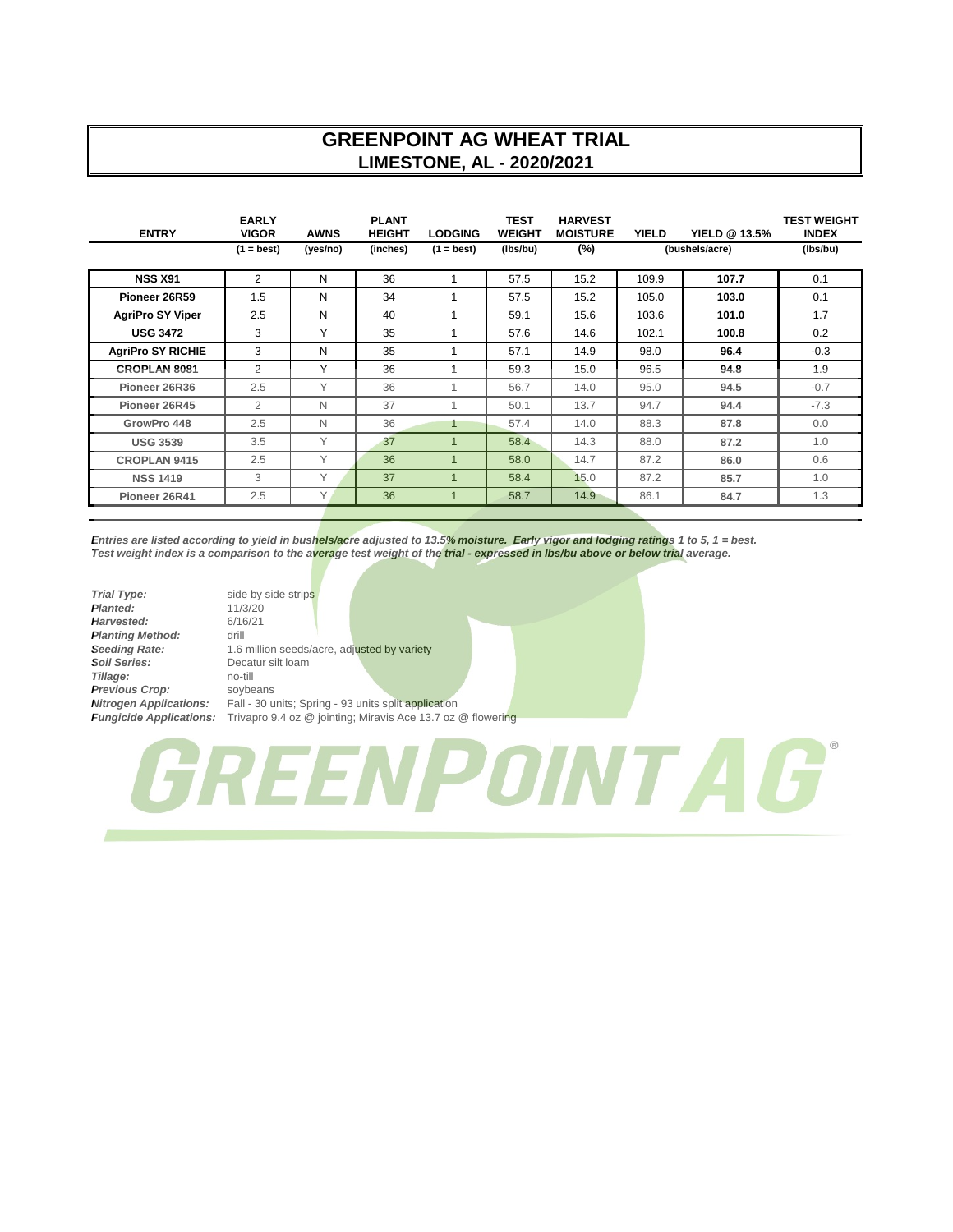## **GREENPOINT AG WHEAT TRIAL LIMESTONE, AL - 2020/2021**

| <b>ENTRY</b>             | <b>EARLY</b><br><b>VIGOR</b> | <b>AWNS</b> | <b>PLANT</b><br><b>HEIGHT</b> | <b>LODGING</b>          | <b>TEST</b><br><b>WEIGHT</b> | <b>HARVEST</b><br><b>MOISTURE</b> | <b>YIELD</b> | <b>YIELD @ 13.5%</b> | <b>TEST WEIGHT</b><br><b>INDEX</b> |
|--------------------------|------------------------------|-------------|-------------------------------|-------------------------|------------------------------|-----------------------------------|--------------|----------------------|------------------------------------|
|                          | $(1 = best)$                 | (yes/no)    | (inches)                      | $(1 = best)$            | (lbs/bu)                     | $(\%)$                            |              | (bushels/acre)       | (Ibs/bu)                           |
| <b>NSS X91</b>           | 2                            | N           | 36                            |                         | 57.5                         | 15.2                              | 109.9        | 107.7                | 0.1                                |
| Pioneer 26R59            | 1.5                          | N           | 34                            | 1                       | 57.5                         | 15.2                              | 105.0        | 103.0                | 0.1                                |
| <b>AgriPro SY Viper</b>  | 2.5                          | N           | 40                            | 1                       | 59.1                         | 15.6                              | 103.6        | 101.0                | 1.7                                |
| <b>USG 3472</b>          | 3                            | Υ           | 35                            | 1                       | 57.6                         | 14.6                              | 102.1        | 100.8                | 0.2                                |
| <b>AgriPro SY RICHIE</b> | 3                            | N           | 35                            |                         | 57.1                         | 14.9                              | 98.0         | 96.4                 | $-0.3$                             |
| <b>CROPLAN 8081</b>      | 2                            | Y           | 36                            | 1                       | 59.3                         | 15.0                              | 96.5         | 94.8                 | 1.9                                |
| Pioneer 26R36            | 2.5                          | Y           | 36                            |                         | 56.7                         | 14.0                              | 95.0         | 94.5                 | $-0.7$                             |
| Pioneer 26R45            | $\overline{2}$               | N           | 37                            | 1                       | 50.1                         | 13.7                              | 94.7         | 94.4                 | $-7.3$                             |
| GrowPro 448              | 2.5                          | N           | 36                            | 1                       | 57.4                         | 14.0                              | 88.3         | 87.8                 | 0.0                                |
| <b>USG 3539</b>          | 3.5                          | Y           | 37                            | $\overline{1}$          | 58.4                         | 14.3                              | 88.0         | 87.2                 | 1.0                                |
| <b>CROPLAN 9415</b>      | 2.5                          | Υ           | 36                            | $\mathbf 1$             | 58.0                         | 14.7                              | 87.2         | 86.0                 | 0.6                                |
| <b>NSS 1419</b>          | 3                            | Υ           | 37                            | $\overline{\mathbf{1}}$ | 58.4                         | 15.0                              | 87.2         | 85.7                 | 1.0                                |
| Pioneer 26R41            | 2.5                          | Y           | 36                            | $\overline{1}$          | 58.7                         | 14.9                              | 86.1         | 84.7                 | 1.3                                |

*Entries are listed according to yield in bushels/acre adjusted to 13.5% moisture. Early vigor and lodging ratings 1 to 5, 1 = best. Test weight index is a comparison to the average test weight of the trial - expressed in lbs/bu above or below trial average.*

| <b>Trial Type:</b>             | side  |
|--------------------------------|-------|
| Planted:                       | 11/3  |
| Harvested:                     | 6/1   |
| <b>Planting Method:</b>        | drill |
| <b>Seeding Rate:</b>           | 1.6   |
| Soil Series:                   | Dec   |
| Tillage:                       | no-   |
| Previous Crop:                 | SOV   |
| <b>Nitrogen Applications:</b>  | Fall  |
| <b>Fungicide Applications:</b> | Triv  |

side by side strips *Planted:* 11/3/20 *Harvested:* 6/16/21 *Seeding Rate:* 1.6 million seeds/acre, adjusted by variety *Soil Series:* Decatur silt loam *Tillage:* no-till *Previous Crop:* soybeans Fall - 30 units; Spring - 93 units split application *Fungicide Applications:* Trivapro 9.4 oz @ jointing; Miravis Ace 13.7 oz @ flowering

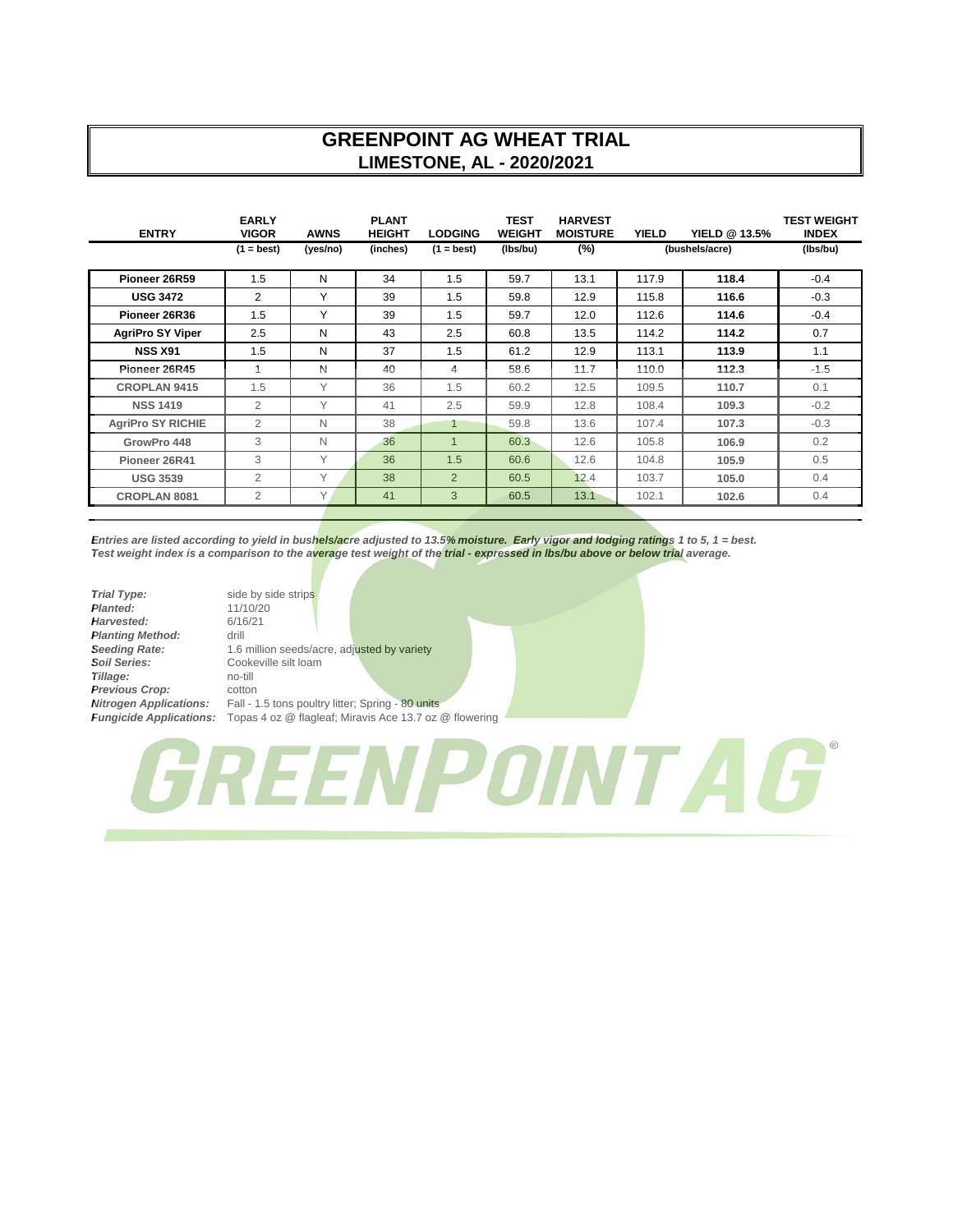## **GREENPOINT AG WHEAT TRIAL LIMESTONE, AL - 2020/2021**

| <b>ENTRY</b>             | <b>EARLY</b><br><b>VIGOR</b> | <b>AWNS</b> | <b>PLANT</b><br><b>HEIGHT</b> | <b>LODGING</b> | <b>TEST</b><br><b>WEIGHT</b> | <b>HARVEST</b><br><b>MOISTURE</b> | <b>YIELD</b> | <b>YIELD @ 13.5%</b> | <b>TEST WEIGHT</b><br><b>INDEX</b> |
|--------------------------|------------------------------|-------------|-------------------------------|----------------|------------------------------|-----------------------------------|--------------|----------------------|------------------------------------|
|                          | $(1 = best)$                 | (yes/no)    | (inches)                      | $(1 = best)$   | (lbs/bu)                     | $(\%)$                            |              | (bushels/acre)       | (Ibs/bu)                           |
| Pioneer 26R59            | 1.5                          | N           | 34                            | 1.5            | 59.7                         | 13.1                              | 117.9        | 118.4                | $-0.4$                             |
| <b>USG 3472</b>          | 2                            | Y           | 39                            | 1.5            | 59.8                         | 12.9                              | 115.8        | 116.6                | $-0.3$                             |
| Pioneer 26R36            | 1.5                          | Υ           | 39                            | 1.5            | 59.7                         | 12.0                              | 112.6        | 114.6                | $-0.4$                             |
| <b>AgriPro SY Viper</b>  | 2.5                          | N           | 43                            | 2.5            | 60.8                         | 13.5                              | 114.2        | 114.2                | 0.7                                |
| <b>NSS X91</b>           | 1.5                          | N           | 37                            | 1.5            | 61.2                         | 12.9                              | 113.1        | 113.9                | 1.1                                |
| Pioneer 26R45            | 1                            | N           | 40                            | 4              | 58.6                         | 11.7                              | 110.0        | 112.3                | $-1.5$                             |
| <b>CROPLAN 9415</b>      | 1.5                          | Y           | 36                            | 1.5            | 60.2                         | 12.5                              | 109.5        | 110.7                | 0.1                                |
| <b>NSS 1419</b>          | $\overline{2}$               | Y           | 41                            | 2.5            | 59.9                         | 12.8                              | 108.4        | 109.3                | $-0.2$                             |
| <b>AgriPro SY RICHIE</b> | 2                            | N           | 38                            | 1              | 59.8                         | 13.6                              | 107.4        | 107.3                | $-0.3$                             |
| GrowPro 448              | 3                            | N           | 36                            | $\mathbf{1}$   | 60.3                         | 12.6                              | 105.8        | 106.9                | 0.2                                |
| Pioneer 26R41            | 3                            | Υ           | 36                            | 1.5            | 60.6                         | 12.6                              | 104.8        | 105.9                | 0.5                                |
| <b>USG 3539</b>          | $\overline{2}$               | Υ           | 38                            | $\overline{2}$ | 60.5                         | 12.4                              | 103.7        | 105.0                | 0.4                                |
| <b>CROPLAN 8081</b>      | $\overline{2}$               | Y           | 41                            | 3              | 60.5                         | 13.1                              | 102.1        | 102.6                | 0.4                                |

*Entries are listed according to yield in bushels/acre adjusted to 13.5% moisture. Early vigor and lodging ratings 1 to 5, 1 = best. Test weight index is a comparison to the average test weight of the trial - expressed in lbs/bu above or below trial average.*

| <b>Trial Type:</b>             | side  |
|--------------------------------|-------|
| Planted:                       | 11/   |
| Harvested:                     | 6/1   |
| <b>Planting Method:</b>        | drill |
| <b>Seeding Rate:</b>           | 1.6   |
| <b>Soil Series:</b>            | Coo   |
| Tillage:                       | no-   |
| Previous Crop:                 | cott  |
| <b>Nitrogen Applications:</b>  | Fall  |
| <b>Fungicide Applications:</b> | Tor   |

side by side strips *Planted:* 11/10/20 *Harvested:* 6/16/21 *Seeding Rate:* 1.6 million seeds/acre, adjusted by variety Cookeville silt loam *Tillage:* no-till *Previous Crop:* cotton Fall - 1.5 tons poultry litter; Spring - 80 units *Fungicide Applications:* Topas 4 oz @ flagleaf; Miravis Ace 13.7 oz @ flowering

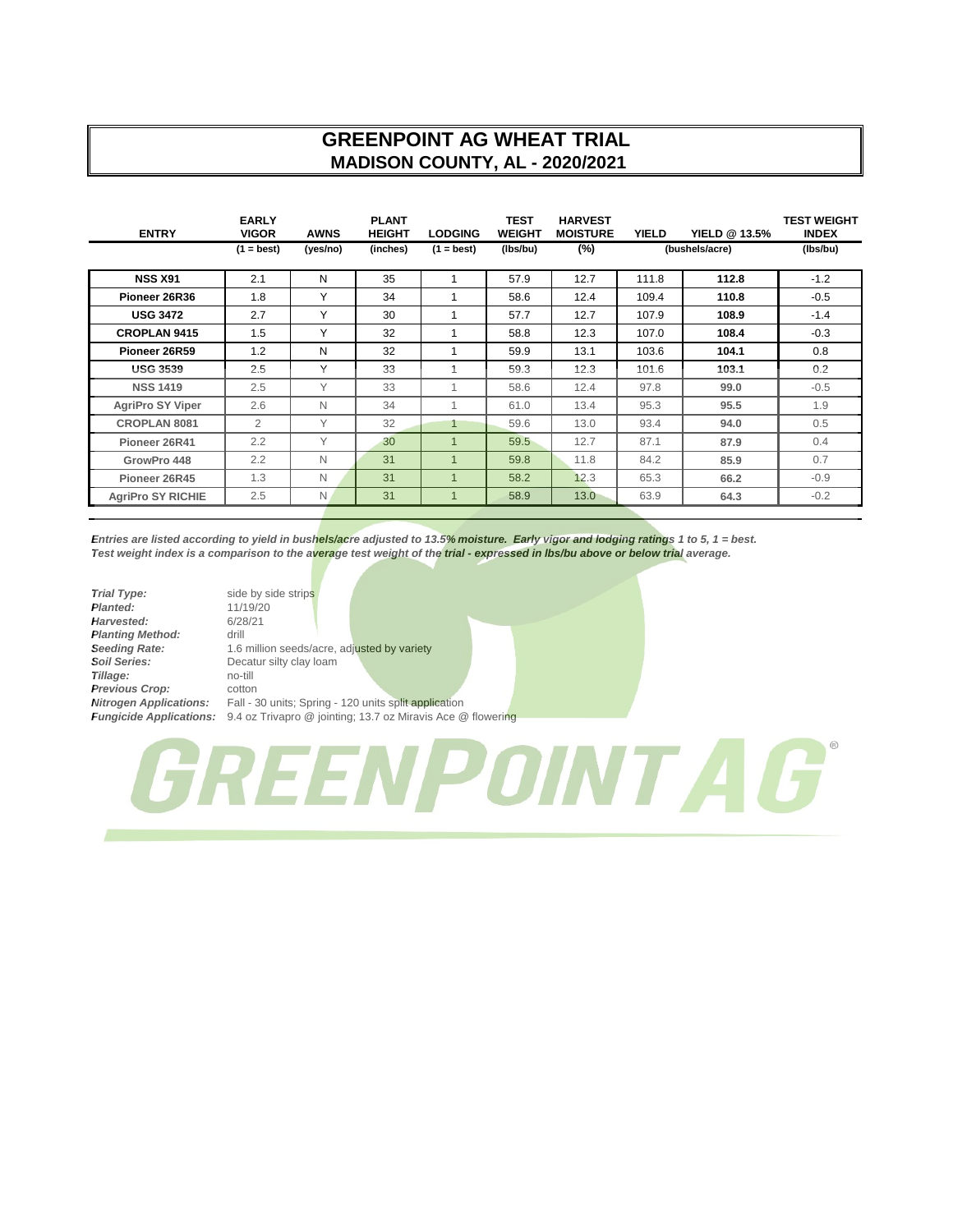## **GREENPOINT AG WHEAT TRIAL MADISON COUNTY, AL - 2020/2021**

| <b>ENTRY</b>             | <b>EARLY</b><br><b>VIGOR</b> | <b>AWNS</b> | <b>PLANT</b><br><b>HEIGHT</b> | <b>LODGING</b> | <b>TEST</b><br><b>WEIGHT</b> | <b>HARVEST</b><br><b>MOISTURE</b> | <b>YIELD</b> | YIELD @ 13.5%  | <b>TEST WEIGHT</b><br><b>INDEX</b> |
|--------------------------|------------------------------|-------------|-------------------------------|----------------|------------------------------|-----------------------------------|--------------|----------------|------------------------------------|
|                          | $(1 = best)$                 | (yes/no)    | (inches)                      | $(1 = best)$   | (lbs/bu)                     | $(\%)$                            |              | (bushels/acre) | (lbs/bu)                           |
| <b>NSS X91</b>           | 2.1                          | N           | 35                            | 1              | 57.9                         | 12.7                              | 111.8        | 112.8          | $-1.2$                             |
| Pioneer 26R36            | 1.8                          | Υ           | 34                            | 1              | 58.6                         | 12.4                              | 109.4        | 110.8          | $-0.5$                             |
| <b>USG 3472</b>          | 2.7                          | Υ           | 30                            | 1              | 57.7                         | 12.7                              | 107.9        | 108.9          | $-1.4$                             |
| <b>CROPLAN 9415</b>      | 1.5                          | Υ           | 32                            | 1              | 58.8                         | 12.3                              | 107.0        | 108.4          | $-0.3$                             |
| Pioneer 26R59            | 1.2                          | N           | 32                            |                | 59.9                         | 13.1                              | 103.6        | 104.1          | 0.8                                |
| <b>USG 3539</b>          | 2.5                          | Y           | 33                            | 1              | 59.3                         | 12.3                              | 101.6        | 103.1          | 0.2                                |
| <b>NSS 1419</b>          | 2.5                          | Y           | 33                            | 1              | 58.6                         | 12.4                              | 97.8         | 99.0           | $-0.5$                             |
| <b>AgriPro SY Viper</b>  | 2.6                          | N           | 34                            | 1              | 61.0                         | 13.4                              | 95.3         | 95.5           | 1.9                                |
| <b>CROPLAN 8081</b>      | 2                            | Y           | 32                            | 1              | 59.6                         | 13.0                              | 93.4         | 94.0           | 0.5                                |
| Pioneer 26R41            | 2.2                          | Υ           | 30                            | $\overline{1}$ | 59.5                         | 12.7                              | 87.1         | 87.9           | 0.4                                |
| GrowPro 448              | 2.2                          | N           | 31                            | $\overline{1}$ | 59.8                         | 11.8                              | 84.2         | 85.9           | 0.7                                |
| Pioneer 26R45            | 1.3                          | N           | 31                            | $\mathbf 1$    | 58.2                         | 12.3                              | 65.3         | 66.2           | $-0.9$                             |
| <b>AgriPro SY RICHIE</b> | 2.5                          | N           | 31                            | $\overline{1}$ | 58.9                         | 13.0                              | 63.9         | 64.3           | $-0.2$                             |

*Entries are listed according to yield in bushels/acre adjusted to 13.5% moisture. Early vigor and lodging ratings 1 to 5, 1 = best. Test weight index is a comparison to the average test weight of the trial - expressed in lbs/bu above or below trial average.*

| <b>Trial Type:</b>             | side  |
|--------------------------------|-------|
| Planted:                       | 11/   |
| Harvested:                     | 6/2i  |
| <b>Planting Method:</b>        | drill |
| <b>Seeding Rate:</b>           | 1.6   |
| <b>Soil Series:</b>            | Dec   |
| Tillage:                       | $no-$ |
| Previous Crop:                 | cott  |
| <b>Nitrogen Applications:</b>  | Fall  |
| <b>Fungicide Applications:</b> | 94    |

side by side strips *Planted:* 11/19/20 *Harvested:* 6/28/21 1.6 million seeds/acre, adjusted by variety **Decatur silty clay loam** *Tillage:* no-till *Previous Crop:* cotton Fall - 30 units; Spring - 120 units split application *Fungicide Applications:* 9.4 oz Trivapro @ jointing; 13.7 oz Miravis Ace @ flowering

GREENPOINT A G'